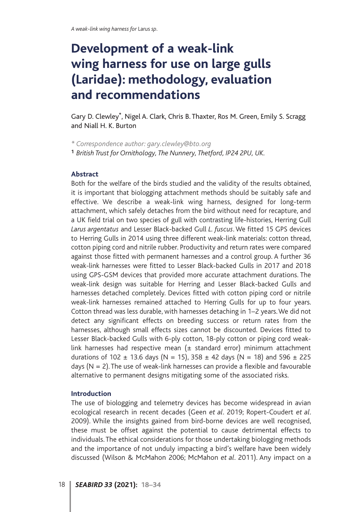# **Development of a weak-link wing harness for use on large gulls (Laridae): methodology, evaluation and recommendations**

Gary D. Clewley**\***, Nigel A. Clark, Chris B. Thaxter, Ros M. Green, Emily S. Scragg and Niall H. K. Burton

*\* Correspondence author: gary.clewley@bto.org* **<sup>1</sup>** *British Trust for Ornithology, The Nunnery, Thetford, IP24 2PU, UK.*

#### **Abstract**

Both for the welfare of the birds studied and the validity of the results obtained, it is important that biologging attachment methods should be suitably safe and effective. We describe a weak-link wing harness, designed for long-term attachment, which safely detaches from the bird without need for recapture, and a UK field trial on two species of gull with contrasting life-histories, Herring Gull *Larus argentatus* and Lesser Black-backed Gull *L. fuscus*. We fitted 15 GPS devices to Herring Gulls in 2014 using three different weak-link materials: cotton thread, cotton piping cord and nitrile rubber. Productivity and return rates were compared against those fitted with permanent harnesses and a control group. A further 36 weak-link harnesses were fitted to Lesser Black-backed Gulls in 2017 and 2018 using GPS-GSM devices that provided more accurate attachment durations. The weak-link design was suitable for Herring and Lesser Black-backed Gulls and harnesses detached completely. Devices fitted with cotton piping cord or nitrile weak-link harnesses remained attached to Herring Gulls for up to four years. Cotton thread was less durable, with harnesses detaching in 1–2 years. We did not detect any significant effects on breeding success or return rates from the harnesses, although small effects sizes cannot be discounted. Devices fitted to Lesser Black-backed Gulls with 6-ply cotton, 18-ply cotton or piping cord weaklink harnesses had respective mean  $(±$  standard error) minimum attachment durations of 102  $\pm$  13.6 days (N = 15), 358  $\pm$  42 days (N = 18) and 596  $\pm$  225 days (N = 2). The use of weak-link harnesses can provide a flexible and favourable alternative to permanent designs mitigating some of the associated risks.

#### **Introduction**

The use of biologging and telemetry devices has become widespread in avian ecological research in recent decades (Geen *et al*. 2019; Ropert-Coudert *et al*. 2009). While the insights gained from bird-borne devices are well recognised, these must be offset against the potential to cause detrimental effects to individuals. The ethical considerations for those undertaking biologging methods and the importance of not unduly impacting a bird's welfare have been widely discussed (Wilson & McMahon 2006; McMahon *et al*. 2011). Any impact on a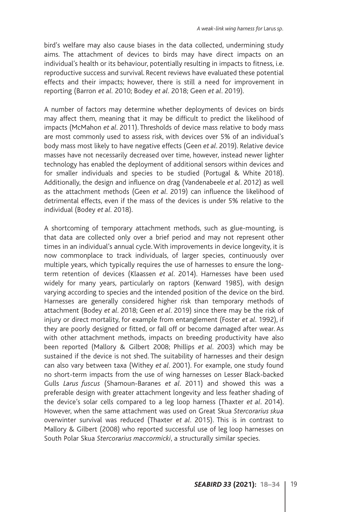bird's welfare may also cause biases in the data collected, undermining study aims. The attachment of devices to birds may have direct impacts on an individual's health or its behaviour, potentially resulting in impacts to fitness, i.e. reproductive success and survival. Recent reviews have evaluated these potential effects and their impacts; however, there is still a need for improvement in reporting (Barron *et al.* 2010; Bodey *et al*. 2018; Geen *et al*. 2019).

A number of factors may determine whether deployments of devices on birds may affect them, meaning that it may be difficult to predict the likelihood of impacts (McMahon *et al*. 2011). Thresholds of device mass relative to body mass are most commonly used to assess risk, with devices over 5% of an individual's body mass most likely to have negative effects (Geen *et al*. 2019). Relative device masses have not necessarily decreased over time, however, instead newer lighter technology has enabled the deployment of additional sensors within devices and for smaller individuals and species to be studied (Portugal & White 2018). Additionally, the design and influence on drag (Vandenabeele *et al*. 2012) as well as the attachment methods (Geen *et al*. 2019) can influence the likelihood of detrimental effects, even if the mass of the devices is under 5% relative to the individual (Bodey *et al.* 2018).

A shortcoming of temporary attachment methods, such as glue-mounting, is that data are collected only over a brief period and may not represent other times in an individual's annual cycle. With improvements in device longevity, it is now commonplace to track individuals, of larger species, continuously over multiple years, which typically requires the use of harnesses to ensure the longterm retention of devices (Klaassen *et al*. 2014). Harnesses have been used widely for many years, particularly on raptors (Kenward 1985), with design varying according to species and the intended position of the device on the bird. Harnesses are generally considered higher risk than temporary methods of attachment (Bodey *et al*. 2018; Geen *et al*. 2019) since there may be the risk of injury or direct mortality, for example from entanglement (Foster *et al*. 1992), if they are poorly designed or fitted, or fall off or become damaged after wear. As with other attachment methods, impacts on breeding productivity have also been reported (Mallory & Gilbert 2008; Phillips *et al*. 2003) which may be sustained if the device is not shed. The suitability of harnesses and their design can also vary between taxa (Withey *et al*. 2001). For example, one study found no short-term impacts from the use of wing harnesses on Lesser Black-backed Gulls *Larus fuscus* (Shamoun-Baranes *et al*. 2011) and showed this was a preferable design with greater attachment longevity and less feather shading of the device's solar cells compared to a leg loop harness (Thaxter *et al*. 2014). However, when the same attachment was used on Great Skua *Stercorarius skua* overwinter survival was reduced (Thaxter *et al*. 2015). This is in contrast to Mallory & Gilbert (2008) who reported successful use of leg loop harnesses on South Polar Skua *Stercorarius maccormicki*, a structurally similar species.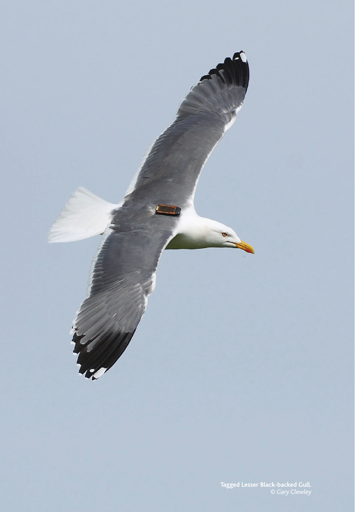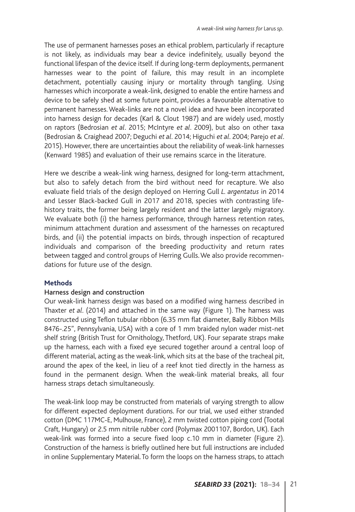The use of permanent harnesses poses an ethical problem, particularly if recapture is not likely, as individuals may bear a device indefinitely, usually beyond the functional lifespan of the device itself. If during long-term deployments, permanent harnesses wear to the point of failure, this may result in an incomplete detachment, potentially causing injury or mortality through tangling. Using harnesses which incorporate a weak-link, designed to enable the entire harness and device to be safely shed at some future point, provides a favourable alternative to permanent harnesses. Weak-links are not a novel idea and have been incorporated into harness design for decades (Karl & Clout 1987) and are widely used, mostly on raptors (Bedrosian *et al*. 2015; McIntyre *et al*. 2009), but also on other taxa (Bedrosian & Craighead 2007; Deguchi *et al*. 2014; Higuchi *et al*. 2004; Parejo *et al*. 2015). However, there are uncertainties about the reliability of weak-link harnesses (Kenward 1985) and evaluation of their use remains scarce in the literature.

Here we describe a weak-link wing harness, designed for long-term attachment, but also to safely detach from the bird without need for recapture. We also evaluate field trials of the design deployed on Herring Gull *L. argentatus* in 2014 and Lesser Black-backed Gull in 2017 and 2018, species with contrasting lifehistory traits, the former being largely resident and the latter largely migratory. We evaluate both (i) the harness performance, through harness retention rates, minimum attachment duration and assessment of the harnesses on recaptured birds, and (ii) the potential impacts on birds, through inspection of recaptured individuals and comparison of the breeding productivity and return rates between tagged and control groups of Herring Gulls. We also provide recommendations for future use of the design.

# **Methods**

# Harness design and construction

Our weak-link harness design was based on a modified wing harness described in Thaxter *et al*. (2014) and attached in the same way (Figure 1). The harness was constructed using Teflon tubular ribbon (6.35 mm flat diameter, Bally Ribbon Mills 8476-.25", Pennsylvania, USA) with a core of 1 mm braided nylon wader mist-net shelf string (British Trust for Ornithology, Thetford, UK). Four separate straps make up the harness, each with a fixed eye secured together around a central loop of different material, acting as the weak-link, which sits at the base of the tracheal pit, around the apex of the keel, in lieu of a reef knot tied directly in the harness as found in the permanent design. When the weak-link material breaks, all four harness straps detach simultaneously.

The weak-link loop may be constructed from materials of varying strength to allow for different expected deployment durations. For our trial, we used either stranded cotton (DMC 117MC-E, Mulhouse, France), 2 mm twisted cotton piping cord (Tootal Craft, Hungary) or 2.5 mm nitrile rubber cord (Polymax 2001107, Bordon, UK). Each weak-link was formed into a secure fixed loop c.10 mm in diameter (Figure 2). Construction of the harness is briefly outlined here but full instructions are included in online Supplementary Material. To form the loops on the harness straps, to attach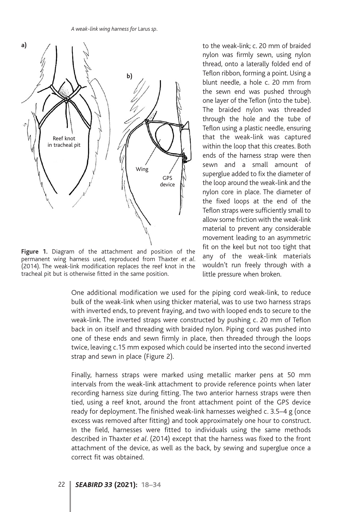

**Figure 1.** Diagram of the attachment and position of the permanent wing harness used, reproduced from Thaxter *et al*. (2014). The weak-link modification replaces the reef knot in the tracheal pit but is otherwise fitted in the same position.

to the weak-link; c. 20 mm of braided nylon was firmly sewn, using nylon thread, onto a laterally folded end of Teflon ribbon, forming a point. Using a blunt needle, a hole c. 20 mm from the sewn end was pushed through one layer of the Teflon (into the tube). The braided nylon was threaded through the hole and the tube of Teflon using a plastic needle, ensuring that the weak-link was captured within the loop that this creates. Both ends of the harness strap were then sewn and a small amount of superglue added to fix the diameter of the loop around the weak-link and the nylon core in place. The diameter of the fixed loops at the end of the Teflon straps were sufficiently small to allow some friction with the weak-link material to prevent any considerable movement leading to an asymmetric fit on the keel but not too tight that any of the weak-link materials wouldn't run freely through with a little pressure when broken.

One additional modification we used for the piping cord weak-link, to reduce bulk of the weak-link when using thicker material, was to use two harness straps with inverted ends, to prevent fraying, and two with looped ends to secure to the weak-link. The inverted straps were constructed by pushing c. 20 mm of Teflon back in on itself and threading with braided nylon. Piping cord was pushed into one of these ends and sewn firmly in place, then threaded through the loops twice, leaving c.15 mm exposed which could be inserted into the second inverted strap and sewn in place (Figure 2).

Finally, harness straps were marked using metallic marker pens at 50 mm intervals from the weak-link attachment to provide reference points when later recording harness size during fitting. The two anterior harness straps were then tied, using a reef knot, around the front attachment point of the GPS device ready for deployment. The finished weak-link harnesses weighed c. 3.5–4 g (once excess was removed after fitting) and took approximately one hour to construct. In the field, harnesses were fitted to individuals using the same methods described in Thaxter *et al*. (2014) except that the harness was fixed to the front attachment of the device, as well as the back, by sewing and superglue once a correct fit was obtained.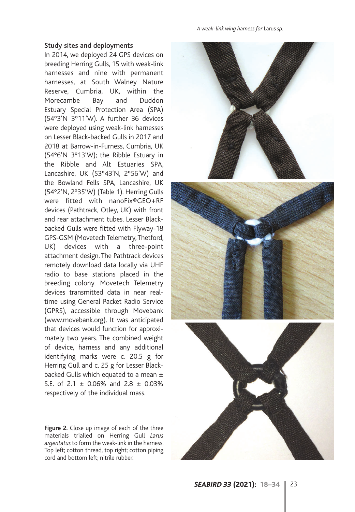#### Study sites and deployments

In 2014, we deployed 24 GPS devices on breeding Herring Gulls, 15 with weak-link harnesses and nine with permanent harnesses, at South Walney Nature Reserve, Cumbria, UK, within the Morecambe Bay and Duddon Estuary Special Protection Area (SPA) (54°3'N 3°11'W). A further 36 devices were deployed using weak-link harnesses on Lesser Black-backed Gulls in 2017 and 2018 at Barrow-in-Furness, Cumbria, UK (54°6'N 3°13'W); the Ribble Estuary in the Ribble and Alt Estuaries SPA, Lancashire, UK (53°43'N, 2°56'W) and the Bowland Fells SPA, Lancashire, UK (54°2'N, 2°35'W) (Table 1). Herring Gulls were fitted with nanoFix®GEO+RF devices (Pathtrack, Otley, UK) with front and rear attachment tubes. Lesser Blackbacked Gulls were fitted with Flyway-18 GPS-GSM (Movetech Telemetry, Thetford, UK) devices with a three-point attachment design. The Pathtrack devices remotely download data locally via UHF radio to base stations placed in the breeding colony. Movetech Telemetry devices transmitted data in near realtime using General Packet Radio Service (GPRS), accessible through Movebank (www.movebank.org). It was anticipated that devices would function for approximately two years. The combined weight of device, harness and any additional identifying marks were c. 20.5 g for Herring Gull and c. 25 g for Lesser Blackbacked Gulls which equated to a mean  $\pm$ S.E. of 2.1  $\pm$  0.06% and 2.8  $\pm$  0.03% respectively of the individual mass.

**Figure 2.** Close up image of each of the three materials trialled on Herring Gull *Larus argentatus* to form the weak-link in the harness. Top left; cotton thread, top right; cotton piping cord and bottom left; nitrile rubber.





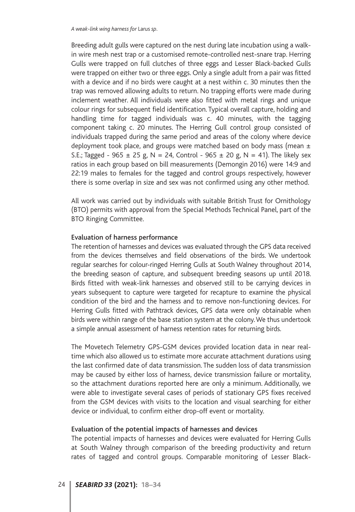Breeding adult gulls were captured on the nest during late incubation using a walkin wire mesh nest trap or a customised remote-controlled nest-snare trap. Herring Gulls were trapped on full clutches of three eggs and Lesser Black-backed Gulls were trapped on either two or three eggs. Only a single adult from a pair was fitted with a device and if no birds were caught at a nest within c. 30 minutes then the trap was removed allowing adults to return. No trapping efforts were made during inclement weather. All individuals were also fitted with metal rings and unique colour rings for subsequent field identification. Typical overall capture, holding and handling time for tagged individuals was c. 40 minutes, with the tagging component taking c. 20 minutes. The Herring Gull control group consisted of individuals trapped during the same period and areas of the colony where device deployment took place, and groups were matched based on body mass (mean  $\pm$ S.E.; Tagged - 965  $\pm$  25 g, N = 24, Control - 965  $\pm$  20 g, N = 41). The likely sex ratios in each group based on bill measurements (Demongin 2016) were 14:9 and 22:19 males to females for the tagged and control groups respectively, however there is some overlap in size and sex was not confirmed using any other method.

All work was carried out by individuals with suitable British Trust for Ornithology (BTO) permits with approval from the Special Methods Technical Panel, part of the BTO Ringing Committee.

#### Evaluation of harness performance

The retention of harnesses and devices was evaluated through the GPS data received from the devices themselves and field observations of the birds. We undertook regular searches for colour-ringed Herring Gulls at South Walney throughout 2014, the breeding season of capture, and subsequent breeding seasons up until 2018. Birds fitted with weak-link harnesses and observed still to be carrying devices in years subsequent to capture were targeted for recapture to examine the physical condition of the bird and the harness and to remove non-functioning devices. For Herring Gulls fitted with Pathtrack devices, GPS data were only obtainable when birds were within range of the base station system at the colony. We thus undertook a simple annual assessment of harness retention rates for returning birds.

The Movetech Telemetry GPS-GSM devices provided location data in near realtime which also allowed us to estimate more accurate attachment durations using the last confirmed date of data transmission. The sudden loss of data transmission may be caused by either loss of harness, device transmission failure or mortality, so the attachment durations reported here are only a minimum. Additionally, we were able to investigate several cases of periods of stationary GPS fixes received from the GSM devices with visits to the location and visual searching for either device or individual, to confirm either drop-off event or mortality.

# Evaluation of the potential impacts of harnesses and devices

The potential impacts of harnesses and devices were evaluated for Herring Gulls at South Walney through comparison of the breeding productivity and return rates of tagged and control groups. Comparable monitoring of Lesser Black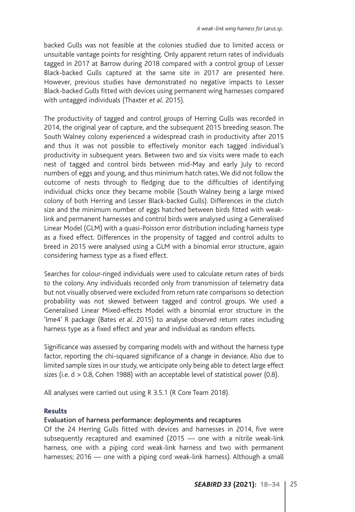backed Gulls was not feasible at the colonies studied due to limited access or unsuitable vantage points for resighting. Only apparent return rates of individuals tagged in 2017 at Barrow during 2018 compared with a control group of Lesser Black-backed Gulls captured at the same site in 2017 are presented here. However, previous studies have demonstrated no negative impacts to Lesser Black-backed Gulls fitted with devices using permanent wing harnesses compared with untagged individuals (Thaxter *et al*. 2015).

The productivity of tagged and control groups of Herring Gulls was recorded in 2014, the original year of capture, and the subsequent 2015 breeding season. The South Walney colony experienced a widespread crash in productivity after 2015 and thus it was not possible to effectively monitor each tagged individual's productivity in subsequent years. Between two and six visits were made to each nest of tagged and control birds between mid-May and early July to record numbers of eggs and young, and thus minimum hatch rates. We did not follow the outcome of nests through to fledging due to the difficulties of identifying individual chicks once they became mobile (South Walney being a large mixed colony of both Herring and Lesser Black-backed Gulls). Differences in the clutch size and the minimum number of eggs hatched between birds fitted with weaklink and permanent harnesses and control birds were analysed using a Generalised Linear Model (GLM) with a quasi-Poisson error distribution including harness type as a fixed effect. Differences in the propensity of tagged and control adults to breed in 2015 were analysed using a GLM with a binomial error structure, again considering harness type as a fixed effect.

Searches for colour-ringed individuals were used to calculate return rates of birds to the colony. Any individuals recorded only from transmission of telemetry data but not visually observed were excluded from return rate comparisons so detection probability was not skewed between tagged and control groups. We used a Generalised Linear Mixed-effects Model with a binomial error structure in the 'lme4' R package (Bates *et al*. 2015) to analyse observed return rates including harness type as a fixed effect and year and individual as random effects.

Significance was assessed by comparing models with and without the harness type factor, reporting the chi-squared significance of a change in deviance. Also due to limited sample sizes in our study, we anticipate only being able to detect large effect sizes (i.e. d > 0.8, Cohen 1988) with an acceptable level of statistical power (0.8).

All analyses were carried out using R 3.5.1 (R Core Team 2018).

# **Results**

# Evaluation of harness performance: deployments and recaptures

Of the 24 Herring Gulls fitted with devices and harnesses in 2014, five were subsequently recaptured and examined (2015 — one with a nitrile weak-link harness, one with a piping cord weak-link harness and two with permanent harnesses; 2016 — one with a piping cord weak-link harness). Although a small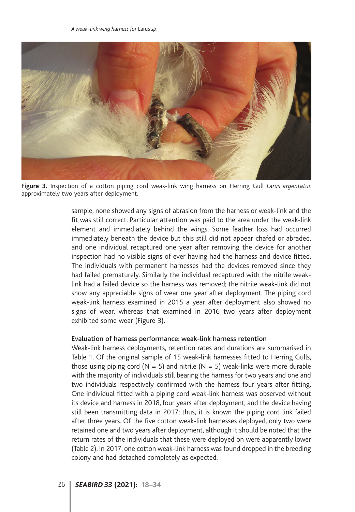

**Figure 3.** Inspection of a cotton piping cord weak-link wing harness on Herring Gull *Larus argentatus* approximately two years after deployment.

sample, none showed any signs of abrasion from the harness or weak-link and the fit was still correct. Particular attention was paid to the area under the weak-link element and immediately behind the wings. Some feather loss had occurred immediately beneath the device but this still did not appear chafed or abraded, and one individual recaptured one year after removing the device for another inspection had no visible signs of ever having had the harness and device fitted. The individuals with permanent harnesses had the devices removed since they had failed prematurely. Similarly the individual recaptured with the nitrile weaklink had a failed device so the harness was removed; the nitrile weak-link did not show any appreciable signs of wear one year after deployment. The piping cord weak-link harness examined in 2015 a year after deployment also showed no signs of wear, whereas that examined in 2016 two years after deployment exhibited some wear (Figure 3).

#### Evaluation of harness performance: weak-link harness retention

Weak-link harness deployments, retention rates and durations are summarised in Table 1. Of the original sample of 15 weak-link harnesses fitted to Herring Gulls, those using piping cord ( $N = 5$ ) and nitrile ( $N = 5$ ) weak-links were more durable with the majority of individuals still bearing the harness for two years and one and two individuals respectively confirmed with the harness four years after fitting. One individual fitted with a piping cord weak-link harness was observed without its device and harness in 2018, four years after deployment, and the device having still been transmitting data in 2017; thus, it is known the piping cord link failed after three years. Of the five cotton weak-link harnesses deployed, only two were retained one and two years after deployment, although it should be noted that the return rates of the individuals that these were deployed on were apparently lower (Table 2). In 2017, one cotton weak-link harness was found dropped in the breeding colony and had detached completely as expected.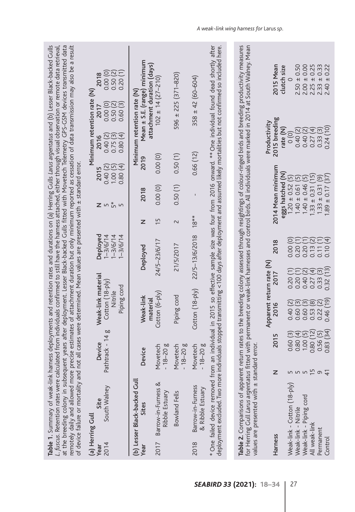| at the breeding colony in subsequent years after deployment. Lesser Black-backed Gulls fitted with Movetech Telemetry GPS-GSM devices transmitted data<br>remotely daily and allowed more precise estimates of attachment duration but only minimum reported as cessation of data transmission may also be a result<br>. fuscus. Retention rates were calculated from individuals confirmed to still have the harness attached, either through visual observation or remote data retrieval,<br>of device failure or mortality and not all cases were determined. Mean values are presented with ± standard error<br>Table 1. Summary of weak-link |                                                                                |                                                                                             | harness deployments and retention rates and durations on (a) Herring Gulls Larus argentatus and (b) Lesser Black-backed Gulls                                                                                                   |                                     |                                                                                                                                                                                              |                                                                             |                                                                                         |                                                                                                            |
|---------------------------------------------------------------------------------------------------------------------------------------------------------------------------------------------------------------------------------------------------------------------------------------------------------------------------------------------------------------------------------------------------------------------------------------------------------------------------------------------------------------------------------------------------------------------------------------------------------------------------------------------------|--------------------------------------------------------------------------------|---------------------------------------------------------------------------------------------|---------------------------------------------------------------------------------------------------------------------------------------------------------------------------------------------------------------------------------|-------------------------------------|----------------------------------------------------------------------------------------------------------------------------------------------------------------------------------------------|-----------------------------------------------------------------------------|-----------------------------------------------------------------------------------------|------------------------------------------------------------------------------------------------------------|
| South Walney<br>Site<br>(a) Herring Gull<br>2014<br>Year                                                                                                                                                                                                                                                                                                                                                                                                                                                                                                                                                                                          | Pathtrack - 14<br>Device                                                       | Weak-link material<br>Cotton (18-ply)<br>Piping cord<br>Nitrile<br>g                        | Deployed<br>$1 - 3/6/14$<br>$1 - 3/6/14$<br>$1 - 3/6/14$                                                                                                                                                                        | $Z$ in $\stackrel{*}{\text{in}}$ in | 0.80(4)<br>0.40(2)<br>2015<br>1.00(                                                                                                                                                          | 0.80(4)<br>0.40(2)<br>$\overline{\omega}$<br>2016<br>0.75 <sub>0</sub><br>0 | Minimum retention rate (N)<br>0.00(0)<br>0.60(3)<br>0.50(2)<br>2017                     | 0.00(0)<br>0.50(2)<br>0.20(1)<br>2018                                                                      |
| (b) Lesser Black-backed Gull<br>Sites<br>Year                                                                                                                                                                                                                                                                                                                                                                                                                                                                                                                                                                                                     | Device                                                                         | Weak-link<br>material                                                                       | Deployed                                                                                                                                                                                                                        | z                                   | 2018                                                                                                                                                                                         | 2019                                                                        | Mean ± S.E. (range) minimum<br>attachment duration (days)<br>Minimum retention rate (N) |                                                                                                            |
| Barrow-in-Furness &<br>Ribble Estuary<br>2017                                                                                                                                                                                                                                                                                                                                                                                                                                                                                                                                                                                                     | Movetech<br>$-18-20g$                                                          | Cotton (6-ply)                                                                              | 24/5-23/6/17                                                                                                                                                                                                                    | ίņ                                  | 0.00(0)                                                                                                                                                                                      | 0.00(0)                                                                     | $102 \pm 14 (27 - 210)$                                                                 |                                                                                                            |
| <b>Bowland Fells</b>                                                                                                                                                                                                                                                                                                                                                                                                                                                                                                                                                                                                                              | Movetech<br>$-18-20g$                                                          | Piping cord                                                                                 | 21/5/2017                                                                                                                                                                                                                       | 2                                   | 0.50(1)                                                                                                                                                                                      | 0.50(1)                                                                     | $596 \pm 225 (371 - 820)$                                                               |                                                                                                            |
| Barrow-in-Furness<br>& Ribble Estuary<br>2018                                                                                                                                                                                                                                                                                                                                                                                                                                                                                                                                                                                                     | Movetech<br>$-18-20g$                                                          | Cotton (18-ply)                                                                             | 22/5-13/6/2018                                                                                                                                                                                                                  | 18**                                |                                                                                                                                                                                              | 0.66(12)                                                                    | $358 \pm 42 (60 - 604)$                                                                 |                                                                                                            |
| deployment excluded. Two more individuals stopped transmitting < 100 days after deployment and assumed likely mortalities but not confirmed so included here.<br>* One failed device removed from an individual in 2015 so effective sample size was four from 2016 onward. ** One individual found dead shortly after                                                                                                                                                                                                                                                                                                                            |                                                                                |                                                                                             |                                                                                                                                                                                                                                 |                                     |                                                                                                                                                                                              |                                                                             |                                                                                         |                                                                                                            |
| Table 2. Comparisons of apparent return rates to the breeding colony assessed through resightings of colour-ringed birds and breeding productivity measures<br>for Herring Gull Larus argentatus fitted with permanent or weak-link harnesses and control birds. All individuals were marked in 2014 at South Walney. Mean                                                                                                                                                                                                                                                                                                                        |                                                                                |                                                                                             |                                                                                                                                                                                                                                 |                                     |                                                                                                                                                                                              |                                                                             |                                                                                         |                                                                                                            |
| values are presented with ± standard error                                                                                                                                                                                                                                                                                                                                                                                                                                                                                                                                                                                                        |                                                                                |                                                                                             |                                                                                                                                                                                                                                 |                                     |                                                                                                                                                                                              |                                                                             |                                                                                         |                                                                                                            |
| Harness                                                                                                                                                                                                                                                                                                                                                                                                                                                                                                                                                                                                                                           | 2015                                                                           | Apparent return rate (N)                                                                    | 2018<br>2017                                                                                                                                                                                                                    |                                     | 2014 Mean minimum                                                                                                                                                                            | 2015 breeding<br>Productivity                                               |                                                                                         | 2015 Mean                                                                                                  |
| Weak-link - Cotton (18-ply)<br>Weak-link - Piping cord<br>Weak-link - Nitrile<br>All weak-link<br>Permanent<br>Control                                                                                                                                                                                                                                                                                                                                                                                                                                                                                                                            | 0.80 (12)<br>0.83 (34<br>0.60(3)<br>0.56(5)<br>0.80(4)<br>1.00(<br>rU<br>m m m | 0.46 (19)<br>0.40(2)<br>⊙<br>0.53(8)<br>0.22(2)<br>$\widetilde{\Xi}$<br>0.60(<br>0.60(<br>G | 0.00(0)<br>$\widetilde{\mathcal{N}}$<br>$\overline{\mathbf{t}}$<br>$\overline{\mathbf{r}}$<br>0.10(4)<br>J.<br>0.20<br>0.20<br>0.13<br>0.11<br>0.32(13)<br>0.20(1)<br>0.27(4)<br>0.33(3)<br>$\widetilde{\Xi}$<br>0.40(<br>0.20( |                                     | eggs hatched (N)<br>$1.33 \pm 0.31$ (15)<br>$1.89 \pm 0.17$ (37)<br>$1.20 \pm 0.52$ (5)<br>$\widetilde{\Xi}$<br>6<br>$\circledcirc$<br>$1.40 \pm 0.46$<br>$1.40 \pm 0.61$<br>$1.33 \pm 0.31$ | 0.24(10)<br>rate (N)<br>0.40(2)<br>0.27(4)<br>0.33(3)<br>0.40(2)<br>(0)     |                                                                                         | $2.50 \pm 0.50$<br>$2.00 \pm 0.00$<br>$2.25 \pm 0.25$<br>$2.33 \pm 0.33$<br>$2.40 \pm 0.22$<br>clutch size |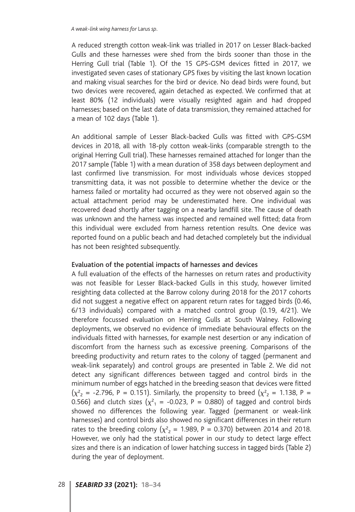A reduced strength cotton weak-link was trialled in 2017 on Lesser Black-backed Gulls and these harnesses were shed from the birds sooner than those in the Herring Gull trial (Table 1). Of the 15 GPS-GSM devices fitted in 2017, we investigated seven cases of stationary GPS fixes by visiting the last known location and making visual searches for the bird or device. No dead birds were found, but two devices were recovered, again detached as expected. We confirmed that at least 80% (12 individuals) were visually resighted again and had dropped harnesses; based on the last date of data transmission, they remained attached for a mean of 102 days (Table 1).

An additional sample of Lesser Black-backed Gulls was fitted with GPS-GSM devices in 2018, all with 18-ply cotton weak-links (comparable strength to the original Herring Gull trial). These harnesses remained attached for longer than the 2017 sample (Table 1) with a mean duration of 358 days between deployment and last confirmed live transmission. For most individuals whose devices stopped transmitting data, it was not possible to determine whether the device or the harness failed or mortality had occurred as they were not observed again so the actual attachment period may be underestimated here. One individual was recovered dead shortly after tagging on a nearby landfill site. The cause of death was unknown and the harness was inspected and remained well fitted; data from this individual were excluded from harness retention results. One device was reported found on a public beach and had detached completely but the individual has not been resighted subsequently.

# Evaluation of the potential impacts of harnesses and devices

A full evaluation of the effects of the harnesses on return rates and productivity was not feasible for Lesser Black-backed Gulls in this study, however limited resighting data collected at the Barrow colony during 2018 for the 2017 cohorts did not suggest a negative effect on apparent return rates for tagged birds (0.46, 6/13 individuals) compared with a matched control group (0.19, 4/21). We therefore focussed evaluation on Herring Gulls at South Walney. Following deployments, we observed no evidence of immediate behavioural effects on the individuals fitted with harnesses, for example nest desertion or any indication of discomfort from the harness such as excessive preening. Comparisons of the breeding productivity and return rates to the colony of tagged (permanent and weak-link separately) and control groups are presented in Table 2. We did not detect any significant differences between tagged and control birds in the minimum number of eggs hatched in the breeding season that devices were fitted  $(\chi^2_{2} = -2.796, P = 0.151)$ . Similarly, the propensity to breed  $(\chi^2_{2} = 1.138, P = 1.139)$ 0.566) and clutch sizes ( $\chi^2_{\rm 1}$  = -0.023, P = 0.880) of tagged and control birds showed no differences the following year. Tagged (permanent or weak-link harnesses) and control birds also showed no significant differences in their return rates to the breeding colony  $(\chi^2_{\;\;2}=1.989$ , P = 0.370) between 2014 and 2018. However, we only had the statistical power in our study to detect large effect sizes and there is an indication of lower hatching success in tagged birds (Table 2) during the year of deployment.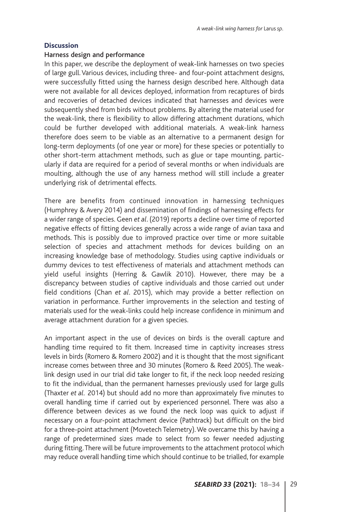#### **Discussion**

# Harness design and performance

In this paper, we describe the deployment of weak-link harnesses on two species of large gull. Various devices, including three- and four-point attachment designs, were successfully fitted using the harness design described here. Although data were not available for all devices deployed, information from recaptures of birds and recoveries of detached devices indicated that harnesses and devices were subsequently shed from birds without problems. By altering the material used for the weak-link, there is flexibility to allow differing attachment durations, which could be further developed with additional materials. A weak-link harness therefore does seem to be viable as an alternative to a permanent design for long-term deployments (of one year or more) for these species or potentially to other short-term attachment methods, such as glue or tape mounting, particularly if data are required for a period of several months or when individuals are moulting, although the use of any harness method will still include a greater underlying risk of detrimental effects.

There are benefits from continued innovation in harnessing techniques (Humphrey & Avery 2014) and dissemination of findings of harnessing effects for a wider range of species. Geen *et al*. (2019) reports a decline over time of reported negative effects of fitting devices generally across a wide range of avian taxa and methods. This is possibly due to improved practice over time or more suitable selection of species and attachment methods for devices building on an increasing knowledge base of methodology. Studies using captive individuals or dummy devices to test effectiveness of materials and attachment methods can yield useful insights (Herring & Gawlik 2010). However, there may be a discrepancy between studies of captive individuals and those carried out under field conditions (Chan *et al*. 2015), which may provide a better reflection on variation in performance. Further improvements in the selection and testing of materials used for the weak-links could help increase confidence in minimum and average attachment duration for a given species.

An important aspect in the use of devices on birds is the overall capture and handling time required to fit them. Increased time in captivity increases stress levels in birds (Romero & Romero 2002) and it is thought that the most significant increase comes between three and 30 minutes (Romero & Reed 2005). The weaklink design used in our trial did take longer to fit, if the neck loop needed resizing to fit the individual, than the permanent harnesses previously used for large gulls (Thaxter *et al.* 2014) but should add no more than approximately five minutes to overall handling time if carried out by experienced personnel. There was also a difference between devices as we found the neck loop was quick to adjust if necessary on a four-point attachment device (Pathtrack) but difficult on the bird for a three-point attachment (Movetech Telemetry). We overcame this by having a range of predetermined sizes made to select from so fewer needed adjusting during fitting. There will be future improvements to the attachment protocol which may reduce overall handling time which should continue to be trialled, for example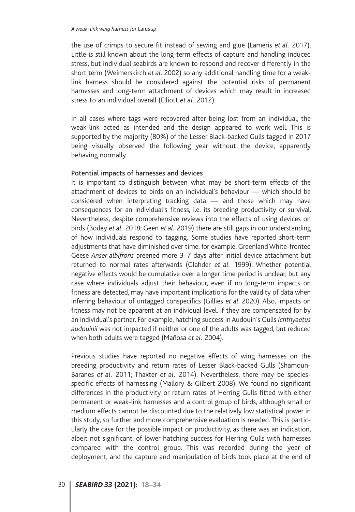the use of crimps to secure fit instead of sewing and glue (Lameris *et al.* 2017). Little is still known about the long-term effects of capture and handling induced stress, but individual seabirds are known to respond and recover differently in the short term (Weimerskirch *et al.* 2002) so any additional handling time for a weaklink harness should be considered against the potential risks of permanent harnesses and long-term attachment of devices which may result in increased stress to an individual overall (Elliott *et al.* 2012).

In all cases where tags were recovered after being lost from an individual, the weak-link acted as intended and the design appeared to work well. This is supported by the majority (80%) of the Lesser Black-backed Gulls tagged in 2017 being visually observed the following year without the device, apparently behaving normally.

# Potential impacts of harnesses and devices

It is important to distinguish between what may be short-term effects of the attachment of devices to birds on an individual's behaviour — which should be considered when interpreting tracking data — and those which may have consequences for an individual's fitness, i.e. its breeding productivity or survival. Nevertheless, despite comprehensive reviews into the effects of using devices on birds (Bodey *et al.* 2018; Geen *et al.* 2019) there are still gaps in our understanding of how individuals respond to tagging. Some studies have reported short-term adjustments that have diminished over time, for example, Greenland White-fronted Geese *Anser albifrons* preened more 3–7 days after initial device attachment but returned to normal rates afterwards (Glahder *et al.* 1999). Whether potential negative effects would be cumulative over a longer time period is unclear, but any case where individuals adjust their behaviour, even if no long-term impacts on fitness are detected, may have important implications for the validity of data when inferring behaviour of untagged conspecifics (Gillies *et al.* 2020). Also, impacts on fitness may not be apparent at an individual level, if they are compensated for by an individual's partner. For example, hatching success in Audouin's Gulls *Ichthyaetus audouinii* was not impacted if neither or one of the adults was tagged, but reduced when both adults were tagged (Mañosa *et al.* 2004).

Previous studies have reported no negative effects of wing harnesses on the breeding productivity and return rates of Lesser Black-backed Gulls (Shamoun-Baranes *et al.* 2011; Thaxter *et al.* 2014). Nevertheless, there may be speciesspecific effects of harnessing (Mallory & Gilbert 2008). We found no significant differences in the productivity or return rates of Herring Gulls fitted with either permanent or weak-link harnesses and a control group of birds, although small or medium effects cannot be discounted due to the relatively low statistical power in this study, so further and more comprehensive evaluation is needed. This is particularly the case for the possible impact on productivity, as there was an indication, albeit not significant, of lower hatching success for Herring Gulls with harnesses compared with the control group. This was recorded during the year of deployment, and the capture and manipulation of birds took place at the end of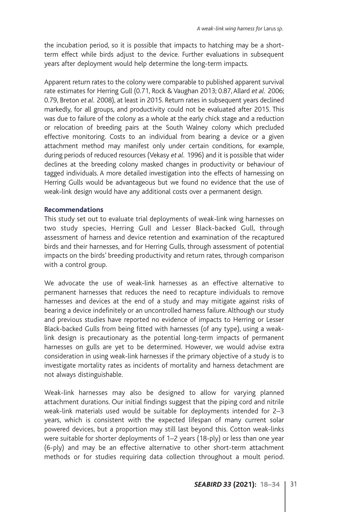the incubation period, so it is possible that impacts to hatching may be a shortterm effect while birds adjust to the device. Further evaluations in subsequent years after deployment would help determine the long-term impacts.

Apparent return rates to the colony were comparable to published apparent survival rate estimates for Herring Gull (0.71, Rock & Vaughan 2013; 0.87, Allard *et al.* 2006; 0.79, Breton *et al.* 2008), at least in 2015. Return rates in subsequent years declined markedly, for all groups, and productivity could not be evaluated after 2015. This was due to failure of the colony as a whole at the early chick stage and a reduction or relocation of breeding pairs at the South Walney colony which precluded effective monitoring. Costs to an individual from bearing a device or a given attachment method may manifest only under certain conditions, for example, during periods of reduced resources (Vekasy *et al.* 1996) and it is possible that wider declines at the breeding colony masked changes in productivity or behaviour of tagged individuals. A more detailed investigation into the effects of harnessing on Herring Gulls would be advantageous but we found no evidence that the use of weak-link design would have any additional costs over a permanent design.

# **Recommendations**

This study set out to evaluate trial deployments of weak-link wing harnesses on two study species, Herring Gull and Lesser Black-backed Gull, through assessment of harness and device retention and examination of the recaptured birds and their harnesses, and for Herring Gulls, through assessment of potential impacts on the birds' breeding productivity and return rates, through comparison with a control group.

We advocate the use of weak-link harnesses as an effective alternative to permanent harnesses that reduces the need to recapture individuals to remove harnesses and devices at the end of a study and may mitigate against risks of bearing a device indefinitely or an uncontrolled harness failure. Although our study and previous studies have reported no evidence of impacts to Herring or Lesser Black-backed Gulls from being fitted with harnesses (of any type), using a weaklink design is precautionary as the potential long-term impacts of permanent harnesses on gulls are yet to be determined. However, we would advise extra consideration in using weak-link harnesses if the primary objective of a study is to investigate mortality rates as incidents of mortality and harness detachment are not always distinguishable.

Weak-link harnesses may also be designed to allow for varying planned attachment durations. Our initial findings suggest that the piping cord and nitrile weak-link materials used would be suitable for deployments intended for 2–3 years, which is consistent with the expected lifespan of many current solar powered devices, but a proportion may still last beyond this. Cotton weak-links were suitable for shorter deployments of 1–2 years (18-ply) or less than one year (6-ply) and may be an effective alternative to other short-term attachment methods or for studies requiring data collection throughout a moult period.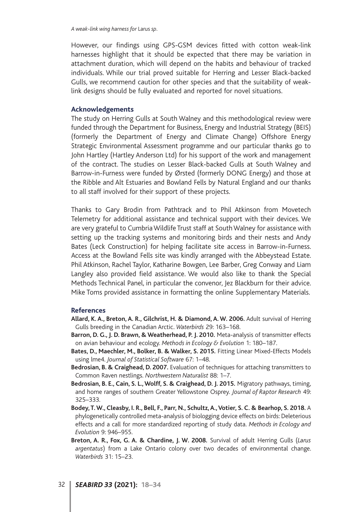However, our findings using GPS-GSM devices fitted with cotton weak-link harnesses highlight that it should be expected that there may be variation in attachment duration, which will depend on the habits and behaviour of tracked individuals. While our trial proved suitable for Herring and Lesser Black-backed Gulls, we recommend caution for other species and that the suitability of weaklink designs should be fully evaluated and reported for novel situations.

#### **Acknowledgements**

The study on Herring Gulls at South Walney and this methodological review were funded through the Department for Business, Energy and Industrial Strategy (BEIS) (formerly the Department of Energy and Climate Change) Offshore Energy Strategic Environmental Assessment programme and our particular thanks go to John Hartley (Hartley Anderson Ltd) for his support of the work and management of the contract. The studies on Lesser Black-backed Gulls at South Walney and Barrow-in-Furness were funded by Ørsted (formerly DONG Energy) and those at the Ribble and Alt Estuaries and Bowland Fells by Natural England and our thanks to all staff involved for their support of these projects.

Thanks to Gary Brodin from Pathtrack and to Phil Atkinson from Movetech Telemetry for additional assistance and technical support with their devices. We are very grateful to Cumbria Wildlife Trust staff at South Walney for assistance with setting up the tracking systems and monitoring birds and their nests and Andy Bates (Leck Construction) for helping facilitate site access in Barrow-in-Furness. Access at the Bowland Fells site was kindly arranged with the Abbeystead Estate. Phil Atkinson, Rachel Taylor, Katharine Bowgen, Lee Barber, Greg Conway and Liam Langley also provided field assistance. We would also like to thank the Special Methods Technical Panel, in particular the convenor, Jez Blackburn for their advice. Mike Toms provided assistance in formatting the online Supplementary Materials.

#### **References**

- **Allard, K. A., Breton, A. R., Gilchrist, H. & Diamond, A. W. 2006.** Adult survival of Herring Gulls breeding in the Canadian Arctic. *Waterbirds* 29: 163–168.
- **Barron, D. G., J. D. Brawn, & Weatherhead, P. J. 2010.** Meta-analysis of transmitter effects on avian behaviour and ecology. *Methods in Ecology & Evolution* 1: 180–187.
- **Bates, D., Maechler, M., Bolker, B. & Walker, S. 2015.** Fitting Linear Mixed-Effects Models using lme4. *Journal of Statistical Software* 67: 1–48.
- **Bedrosian, B. & Craighead, D. 2007.** Evaluation of techniques for attaching transmitters to Common Raven nestlings. *Northwestern Naturalist* 88: 1–7.
- **Bedrosian, B. E., Cain, S. L., Wolff, S. & Craighead, D. J. 2015.** Migratory pathways, timing, and home ranges of southern Greater Yellowstone Osprey. *Journal of Raptor Research* 49: 325–333.
- **Bodey, T. W., Cleasby, I. R., Bell, F., Parr, N., Schultz, A., Votier, S. C. & Bearhop, S. 2018.** A phylogenetically controlled meta-analysis of biologging device effects on birds: Deleterious effects and a call for more standardized reporting of study data. *Methods in Ecology and Evolution* 9: 946–955.
- **Breton, A. R., Fox, G. A. & Chardine, J. W. 2008.** Survival of adult Herring Gulls (*Larus argentatus*) from a Lake Ontario colony over two decades of environmental change. *Waterbirds* 31: 15–23.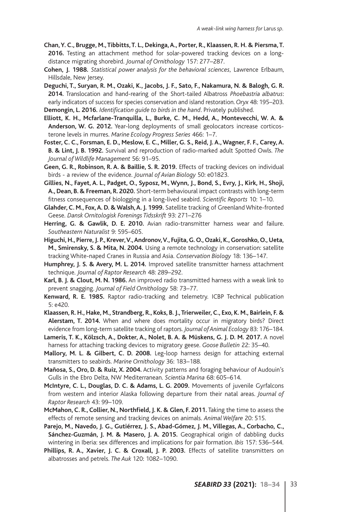- **Chan, Y. C., Brugge, M., Tibbitts, T. L., Dekinga, A., Porter, R., Klaassen, R. H. & Piersma, T. 2016.** Testing an attachment method for solar-powered tracking devices on a longdistance migrating shorebird. *Journal of Ornithology* 157: 277–287.
- **Cohen, J. 1988.** *Statistical power analysis for the behavioral sciences*, Lawrence Erlbaum, Hillsdale, New Jersey.

**Deguchi, T., Suryan, R. M., Ozaki, K., Jacobs, J. F., Sato, F., Nakamura, N. & Balogh, G. R. 2014.** Translocation and hand-rearing of the Short-tailed Albatross *Phoebastria albatrus*: early indicators of success for species conservation and island restoration. *Oryx* 48: 195–203.

**Demongin, L. 2016.** *Identification guide to birds in the hand*. Privately published.

- **Elliott, K. H., Mcfarlane-Tranquilla, L., Burke, C. M., Hedd, A., Montevecchi, W. A. & Anderson, W. G. 2012.** Year-long deployments of small geolocators increase corticosterone levels in murres. *Marine Ecology Progress Series* 466: 1–7.
- **Foster, C. C., Forsman, E. D., Meslow, E. C., Miller, G. S., Reid, J. A., Wagner, F. F., Carey, A. B. & Lint, J. B. 1992.** Survival and reproduction of radio-marked adult Spotted Owls. *The Journal of Wildlife Management* 56: 91–95.
- **Geen, G. R., Robinson, R. A. & Baillie, S. R. 2019.** Effects of tracking devices on individual birds - a review of the evidence. *Journal of Avian Biology* 50: e01823.
- **Gillies, N., Fayet, A. L., Padget, O., Syposz, M., Wynn, J., Bond, S., Evry, J., Kirk, H., Shoji, A., Dean, B. & Freeman, R. 2020.** Short-term behavioural impact contrasts with long-term fitness consequences of biologging in a long-lived seabird. *Scientific Reports* 10: 1–10.
- **Glahder, C. M., Fox, A. D. & Walsh, A. J. 1999.** Satellite tracking of Greenland White-fronted Geese. *Dansk Ornitologisk Forenings Tidsskrift* 93: 271–276
- **Herring, G. & Gawlik, D. E. 2010.** Avian radio-transmitter harness wear and failure. *Southeastern Naturalist* 9: 595–605.
- **Higuchi, H., Pierre, J. P., Krever, V., Andronov, V., Fujita, G. O., Ozaki, K., Goroshko, O., Ueta, M., Smirensky, S. & Mita, N. 2004.** Using a remote technology in conservation: satellite tracking White-naped Cranes in Russia and Asia. *Conservation Biology* 18: 136–147.
- **Humphrey, J. S. & Avery, M. L. 2014.** Improved satellite transmitter harness attachment technique. *Journal of Raptor Research* 48: 289–292.
- **Karl, B. J. & Clout, M. N. 1986.** An improved radio transmitted harness with a weak link to prevent snagging. *Journal of Field Ornithology* 58: 73–77.
- **Kenward, R. E. 1985.** Raptor radio-tracking and telemetry. ICBP Technical publication 5: e420.
- **Klaassen, R. H., Hake, M., Strandberg, R., Koks, B. J., Trierweiler, C., Exo, K. M., Bairlein, F. & Alerstam, T. 2014.** When and where does mortality occur in migratory birds? Direct evidence from long-term satellite tracking of raptors. *Journal of Animal Ecology* 83: 176–184.
- **Lameris, T. K., Kölzsch, A., Dokter, A., Nolet, B. A. & Müskens, G. J. D. M. 2017.** A novel harness for attaching tracking devices to migratory geese. *Goose Bulletin* 22: 35–40.
- **Mallory, M. L. & Gilbert, C. D. 2008.** Leg-loop harness design for attaching external transmitters to seabirds. *Marine Ornithology* 36: 183–188.
- **Mañosa, S., Oro, D. & Ruiz, X. 2004.** Activity patterns and foraging behaviour of Audouin's Gulls in the Ebro Delta, NW Mediterranean. *Scientia Marina* 68: 605–614.
- **McIntyre, C. L., Douglas, D. C. & Adams, L. G. 2009.** Movements of juvenile Gyrfalcons from western and interior Alaska following departure from their natal areas. *Journal of Raptor Research* 43: 99–109.
- **McMahon, C. R., Collier, N., Northfield, J. K. & Glen, F. 2011.** Taking the time to assess the effects of remote sensing and tracking devices on animals. *Animal Welfare* 20: 515.
- **Parejo, M., Navedo, J. G., Gutiérrez, J. S., Abad-Gómez, J. M., Villegas, A., Corbacho, C., Sánchez-Guzmán, J. M. & Masero, J. A. 2015.** Geographical origin of dabbling ducks wintering in Iberia: sex differences and implications for pair formation. *Ibis* 157: 536–544.
- **Phillips, R. A., Xavier, J. C. & Croxall, J. P. 2003.** Effects of satellite transmitters on albatrosses and petrels. *The Auk* 120: 1082–1090.